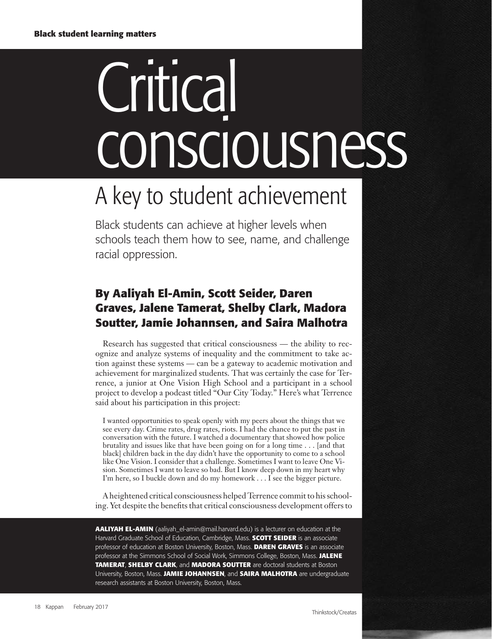# Critical consciousness

# A key to student achievement

Black students can achieve at higher levels when schools teach them how to see, name, and challenge racial oppression.

## **By Aaliyah El-Amin, Scott Seider, Daren Graves, Jalene Tamerat, Shelby Clark, Madora Soutter, Jamie Johannsen, and Saira Malhotra**

Research has suggested that critical consciousness — the ability to recognize and analyze systems of inequality and the commitment to take action against these systems — can be a gateway to academic motivation and achievement for marginalized students. That was certainly the case for Terrence, a junior at One Vision High School and a participant in a school project to develop a podcast titled "Our City Today." Here's what Terrence said about his participation in this project:

I wanted opportunities to speak openly with my peers about the things that we see every day. Crime rates, drug rates, riots. I had the chance to put the past in conversation with the future. I watched a documentary that showed how police brutality and issues like that have been going on for a long time . . . [and that black] children back in the day didn't have the opportunity to come to a school like One Vision. I consider that a challenge. Sometimes I want to leave One Vision. Sometimes I want to leave so bad. But I know deep down in my heart why I'm here, so I buckle down and do my homework . . . I see the bigger picture.

A heightened critical consciousness helped Terrence commit to his schooling. Yet despite the benefits that critical consciousness development offers to

**AALIYAH EL-AMIN** (aaliyah\_el-amin@mail.harvard.edu) is a lecturer on education at the Harvard Graduate School of Education, Cambridge, Mass. **SCOTT SEIDER** is an associate professor of education at Boston University, Boston, Mass. **DAREN GRAVES** is an associate professor at the Simmons School of Social Work, Simmons College, Boston, Mass. **JALENE TAMERAT**, **SHELBY CLARK**, and **MADORA SOUTTER** are doctoral students at Boston University, Boston, Mass. **JAMIE JOHANNSEN**, and **SAIRA MALHOTRA** are undergraduate research assistants at Boston University, Boston, Mass.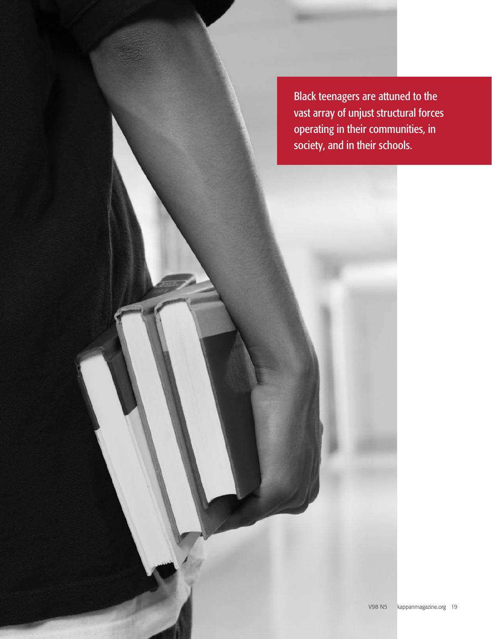Black teenagers are attuned to the vast array of unjust structural forces operating in their communities, in society, and in their schools.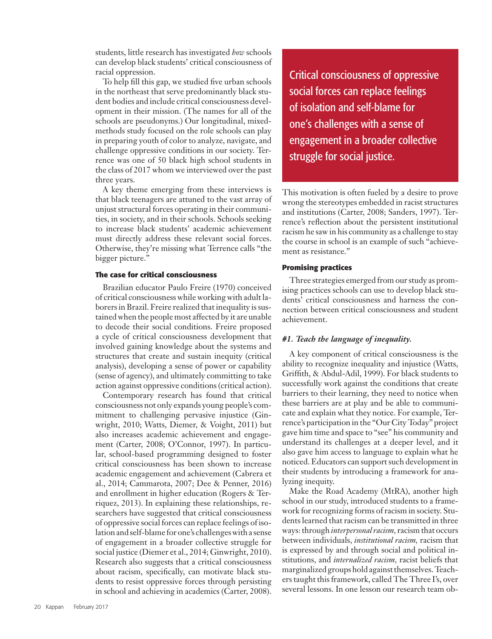students, little research has investigated *how* schools can develop black students' critical consciousness of racial oppression.

To help fill this gap, we studied five urban schools in the northeast that serve predominantly black student bodies and include critical consciousness development in their mission. (The names for all of the schools are pseudonyms.) Our longitudinal, mixedmethods study focused on the role schools can play in preparing youth of color to analyze, navigate, and challenge oppressive conditions in our society. Terrence was one of 50 black high school students in the class of 2017 whom we interviewed over the past three years.

A key theme emerging from these interviews is that black teenagers are attuned to the vast array of unjust structural forces operating in their communities, in society, and in their schools. Schools seeking to increase black students' academic achievement must directly address these relevant social forces. Otherwise, they're missing what Terrence calls "the bigger picture."

#### **The case for critical consciousness**

Brazilian educator Paulo Freire (1970) conceived of critical consciousness while working with adult laborers in Brazil. Freire realized that inequality is sustained when the people most affected by it are unable to decode their social conditions. Freire proposed a cycle of critical consciousness development that involved gaining knowledge about the systems and structures that create and sustain inequity (critical analysis), developing a sense of power or capability (sense of agency), and ultimately committing to take action against oppressive conditions (critical action).

Contemporary research has found that critical consciousness not only expands young people's commitment to challenging pervasive injustice (Ginwright, 2010; Watts, Diemer, & Voight, 2011) but also increases academic achievement and engagement (Carter, 2008; O'Connor, 1997). In particular, school-based programming designed to foster critical consciousness has been shown to increase academic engagement and achievement (Cabrera et al., 2014; Cammarota, 2007; Dee & Penner, 2016) and enrollment in higher education (Rogers & Terriquez, 2013). In explaining these relationships, researchers have suggested that critical consciousness of oppressive social forces can replace feelings of isolation and self-blame for one's challenges with a sense of engagement in a broader collective struggle for social justice (Diemer et al., 2014; Ginwright, 2010). Research also suggests that a critical consciousness about racism, specifically, can motivate black students to resist oppressive forces through persisting in school and achieving in academics (Carter, 2008).

Critical consciousness of oppressive social forces can replace feelings of isolation and self-blame for one's challenges with a sense of engagement in a broader collective struggle for social justice.

This motivation is often fueled by a desire to prove wrong the stereotypes embedded in racist structures and institutions (Carter, 2008; Sanders, 1997). Terrence's reflection about the persistent institutional racism he saw in his community as a challenge to stay the course in school is an example of such "achievement as resistance."

#### **Promising practices**

Three strategies emerged from our study as promising practices schools can use to develop black students' critical consciousness and harness the connection between critical consciousness and student achievement.

#### *#1. Teach the language of inequality.*

A key component of critical consciousness is the ability to recognize inequality and injustice (Watts, Griffith, & Abdul-Adil, 1999). For black students to successfully work against the conditions that create barriers to their learning, they need to notice when these barriers are at play and be able to communicate and explain what they notice. For example, Terrence's participation in the "Our City Today" project gave him time and space to "see" his community and understand its challenges at a deeper level, and it also gave him access to language to explain what he noticed. Educators can support such development in their students by introducing a framework for analyzing inequity.

Make the Road Academy (MtRA), another high school in our study, introduced students to a framework for recognizing forms of racism in society. Students learned that racism can be transmitted in three ways: through *interpersonal racism,* racism that occurs between individuals, *institutional racism,* racism that is expressed by and through social and political institutions, and *internalized racism,* racist beliefs that marginalized groups hold against themselves. Teachers taught this framework, called The Three I's, over several lessons. In one lesson our research team ob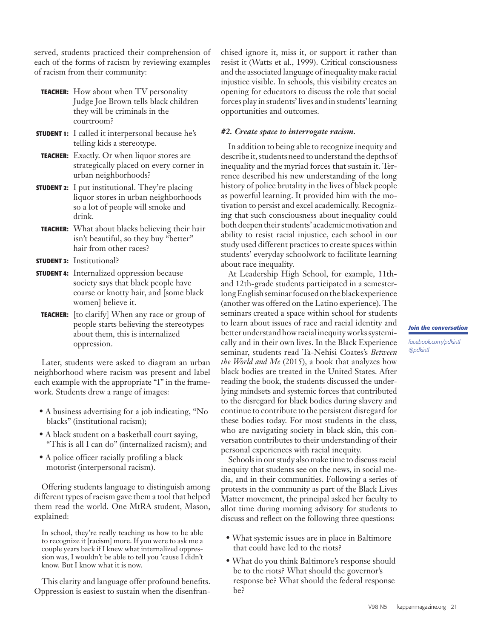served, students practiced their comprehension of each of the forms of racism by reviewing examples of racism from their community:

- **TEACHER:** How about when TV personality Judge Joe Brown tells black children they will be criminals in the courtroom?
- **STUDENT 1:** I called it interpersonal because he's telling kids a stereotype.
- **Teacher:** Exactly. Or when liquor stores are strategically placed on every corner in urban neighborhoods?
- **STUDENT 2:** I put institutional. They're placing liquor stores in urban neighborhoods so a lot of people will smoke and drink.
- **Teacher:** What about blacks believing their hair isn't beautiful, so they buy "better" hair from other races?
- **Student 3:** Institutional?
- **STUDENT 4:** Internalized oppression because society says that black people have coarse or knotty hair, and [some black women] believe it.
- **TEACHER:** [to clarify] When any race or group of people starts believing the stereotypes about them, this is internalized oppression.

Later, students were asked to diagram an urban neighborhood where racism was present and label each example with the appropriate "I" in the framework. Students drew a range of images:

- A business advertising for a job indicating, "No blacks" (institutional racism);
- A black student on a basketball court saying, "This is all I can do" (internalized racism); and
- A police officer racially profiling a black motorist (interpersonal racism).

Offering students language to distinguish among different types of racism gave them a tool that helped them read the world. One MtRA student, Mason, explained:

In school, they're really teaching us how to be able to recognize it [racism] more. If you were to ask me a couple years back if I knew what internalized oppression was, I wouldn't be able to tell you 'cause I didn't know. But I know what it is now.

This clarity and language offer profound benefits. Oppression is easiest to sustain when the disenfran-

chised ignore it, miss it, or support it rather than resist it (Watts et al., 1999). Critical consciousness and the associated language of inequality make racial injustice visible. In schools, this visibility creates an opening for educators to discuss the role that social forces play in students' lives and in students' learning opportunities and outcomes.

#### *#2. Create space to interrogate racism.*

In addition to being able to recognize inequity and describe it, students need to understand the depths of inequality and the myriad forces that sustain it. Terrence described his new understanding of the long history of police brutality in the lives of black people as powerful learning. It provided him with the motivation to persist and excel academically. Recognizing that such consciousness about inequality could both deepen their students' academic motivation and ability to resist racial injustice, each school in our study used different practices to create spaces within students' everyday schoolwork to facilitate learning about race inequality.

At Leadership High School, for example, 11thand 12th-grade students participated in a semesterlong English seminar focused on the black experience (another was offered on the Latino experience). The seminars created a space within school for students to learn about issues of race and racial identity and better understand how racial inequity works systemically and in their own lives. In the Black Experience seminar, students read Ta-Nehisi Coates's *Between the World and Me* (2015), a book that analyzes how black bodies are treated in the United States. After reading the book, the students discussed the underlying mindsets and systemic forces that contributed to the disregard for black bodies during slavery and continue to contribute to the persistent disregard for these bodies today. For most students in the class, who are navigating society in black skin, this conversation contributes to their understanding of their personal experiences with racial inequity.

Schools in our study also make time to discuss racial inequity that students see on the news, in social media, and in their communities. Following a series of protests in the community as part of the Black Lives Matter movement, the principal asked her faculty to allot time during morning advisory for students to discuss and reflect on the following three questions:

- What systemic issues are in place in Baltimore that could have led to the riots?
- What do you think Baltimore's response should be to the riots? What should the governor's response be? What should the federal response be?

#### *Join the conversation*

*facebook.com/pdkintl @pdkintl*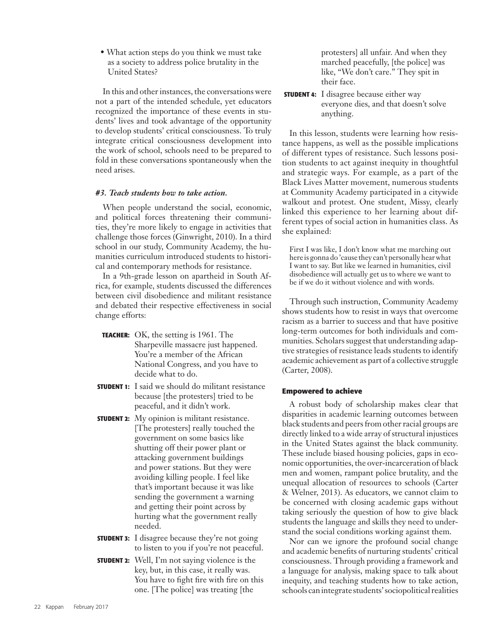• What action steps do you think we must take as a society to address police brutality in the United States?

In this and other instances, the conversations were not a part of the intended schedule, yet educators recognized the importance of these events in students' lives and took advantage of the opportunity to develop students' critical consciousness. To truly integrate critical consciousness development into the work of school, schools need to be prepared to fold in these conversations spontaneously when the need arises.

#### *#3. Teach students how to take action.*

When people understand the social, economic, and political forces threatening their communities, they're more likely to engage in activities that challenge those forces (Ginwright, 2010). In a third school in our study, Community Academy, the humanities curriculum introduced students to historical and contemporary methods for resistance.

In a 9th-grade lesson on apartheid in South Africa, for example, students discussed the differences between civil disobedience and militant resistance and debated their respective effectiveness in social change efforts:

- **Teacher:** OK, the setting is 1961. The Sharpeville massacre just happened. You're a member of the African National Congress, and you have to decide what to do.
- **STUDENT 1:** I said we should do militant resistance because [the protesters] tried to be peaceful, and it didn't work.
- **STUDENT 2:** My opinion is militant resistance. [The protesters] really touched the government on some basics like shutting off their power plant or attacking government buildings and power stations. But they were avoiding killing people. I feel like that's important because it was like sending the government a warning and getting their point across by hurting what the government really needed.
- **STUDENT 3:** I disagree because they're not going to listen to you if you're not peaceful.
- **STUDENT 2:** Well, I'm not saying violence is the key, but, in this case, it really was. You have to fight fire with fire on this one. [The police] was treating [the

protesters] all unfair. And when they marched peacefully, [the police] was like, "We don't care." They spit in their face.

**STUDENT 4:** I disagree because either way everyone dies, and that doesn't solve anything.

In this lesson, students were learning how resistance happens, as well as the possible implications of different types of resistance. Such lessons position students to act against inequity in thoughtful and strategic ways. For example, as a part of the Black Lives Matter movement, numerous students at Community Academy participated in a citywide walkout and protest. One student, Missy, clearly linked this experience to her learning about different types of social action in humanities class. As she explained:

First I was like, I don't know what me marching out here is gonna do 'cause they can't personally hear what I want to say. But like we learned in humanities, civil disobedience will actually get us to where we want to be if we do it without violence and with words.

Through such instruction, Community Academy shows students how to resist in ways that overcome racism as a barrier to success and that have positive long-term outcomes for both individuals and communities. Scholars suggest that understanding adaptive strategies of resistance leads students to identify academic achievement as part of a collective struggle (Carter, 2008).

#### **Empowered to achieve**

A robust body of scholarship makes clear that disparities in academic learning outcomes between black students and peers from other racial groups are directly linked to a wide array of structural injustices in the United States against the black community. These include biased housing policies, gaps in economic opportunities, the over-incarceration of black men and women, rampant police brutality, and the unequal allocation of resources to schools (Carter & Welner, 2013). As educators, we cannot claim to be concerned with closing academic gaps without taking seriously the question of how to give black students the language and skills they need to understand the social conditions working against them.

Nor can we ignore the profound social change and academic benefits of nurturing students' critical consciousness. Through providing a framework and a language for analysis, making space to talk about inequity, and teaching students how to take action, schools can integrate students' sociopolitical realities